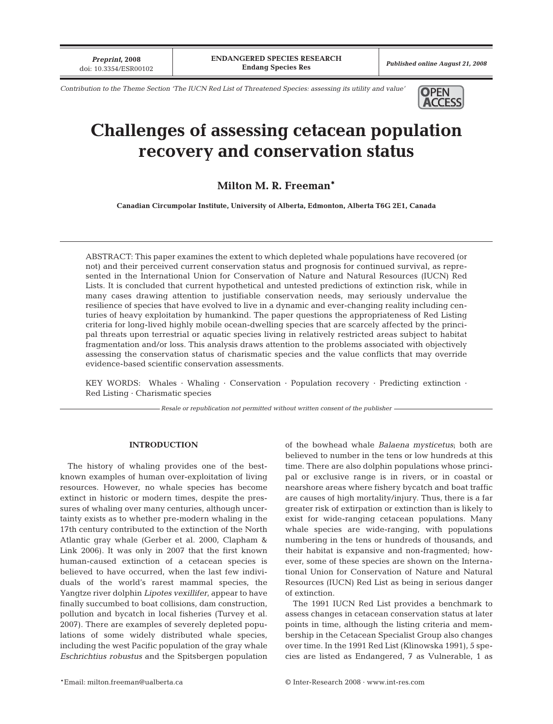*Preprint***, 2008**

*Contribution to the Theme Section 'The IUCN Red List of Threatened Species: assessing its utility and value'* **OPEN** 



# **Challenges of assessing cetacean population recovery and conservation status**

## **Milton M. R. Freeman\***

**Canadian Circumpolar Institute, University of Alberta, Edmonton, Alberta T6G 2E1, Canada**

ABSTRACT: This paper examines the extent to which depleted whale populations have recovered (or not) and their perceived current conservation status and prognosis for continued survival, as represented in the International Union for Conservation of Nature and Natural Resources (IUCN) Red Lists. It is concluded that current hypothetical and untested predictions of extinction risk, while in many cases drawing attention to justifiable conservation needs, may seriously undervalue the resilience of species that have evolved to live in a dynamic and ever-changing reality including centuries of heavy exploitation by humankind. The paper questions the appropriateness of Red Listing criteria for long-lived highly mobile ocean-dwelling species that are scarcely affected by the principal threats upon terrestrial or aquatic species living in relatively restricted areas subject to habitat fragmentation and/or loss. This analysis draws attention to the problems associated with objectively assessing the conservation status of charismatic species and the value conflicts that may override evidence-based scientific conservation assessments.

KEY WORDS: Whales · Whaling · Conservation · Population recovery · Predicting extinction · Red Listing · Charismatic species

*Resale or republication not permitted without written consent of the publisher*

#### **INTRODUCTION**

The history of whaling provides one of the bestknown examples of human over-exploitation of living resources. However, no whale species has become extinct in historic or modern times, despite the pressures of whaling over many centuries, although uncertainty exists as to whether pre-modern whaling in the 17th century contributed to the extinction of the North Atlantic gray whale (Gerber et al. 2000, Clapham & Link 2006). It was only in 2007 that the first known human-caused extinction of a cetacean species is believed to have occurred, when the last few individuals of the world's rarest mammal species, the Yangtze river dolphin *Lipotes vexillifer*, appear to have finally succumbed to boat collisions, dam construction, pollution and bycatch in local fisheries (Turvey et al. 2007). There are examples of severely depleted populations of some widely distributed whale species, including the west Pacific population of the gray whale *Eschrichtius robustus* and the Spitsbergen population of the bowhead whale *Balaena mysticetus*; both are believed to number in the tens or low hundreds at this time. There are also dolphin populations whose principal or exclusive range is in rivers, or in coastal or nearshore areas where fishery bycatch and boat traffic are causes of high mortality/injury. Thus, there is a far greater risk of extirpation or extinction than is likely to exist for wide-ranging cetacean populations. Many whale species are wide-ranging, with populations numbering in the tens or hundreds of thousands, and their habitat is expansive and non-fragmented; however, some of these species are shown on the International Union for Conservation of Nature and Natural Resources (IUCN) Red List as being in serious danger of extinction.

The 1991 IUCN Red List provides a benchmark to assess changes in cetacean conservation status at later points in time, although the listing criteria and membership in the Cetacean Specialist Group also changes over time. In the 1991 Red List (Klinowska 1991), 5 species are listed as Endangered, 7 as Vulnerable, 1 as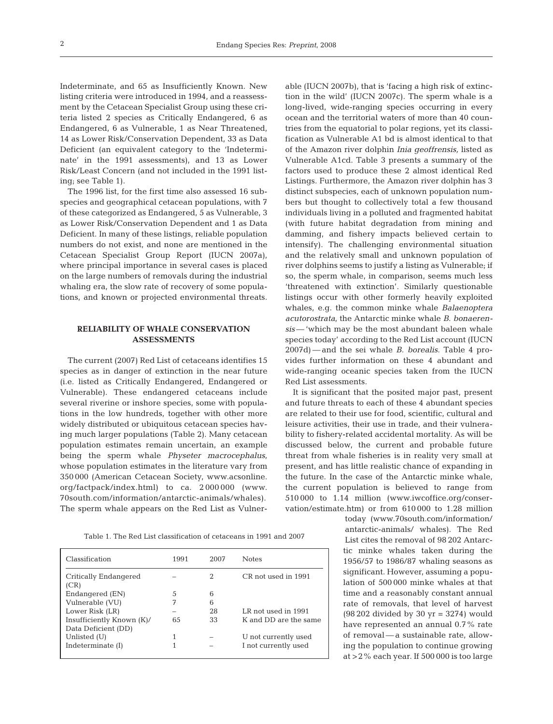Indeterminate, and 65 as Insufficiently Known. New listing criteria were introduced in 1994, and a reassessment by the Cetacean Specialist Group using these criteria listed 2 species as Critically Endangered, 6 as Endangered, 6 as Vulnerable, 1 as Near Threatened, 14 as Lower Risk/Conservation Dependent, 33 as Data Deficient (an equivalent category to the 'Indeterminate' in the 1991 assessments), and 13 as Lower Risk/Least Concern (and not included in the 1991 listing; see Table 1).

The 1996 list, for the first time also assessed 16 subspecies and geographical cetacean populations, with 7 of these categorized as Endangered, 5 as Vulnerable, 3 as Lower Risk/Conservation Dependent and 1 as Data Deficient. In many of these listings, reliable population numbers do not exist, and none are mentioned in the Cetacean Specialist Group Report (IUCN 2007a), where principal importance in several cases is placed on the large numbers of removals during the industrial whaling era, the slow rate of recovery of some populations, and known or projected environmental threats.

## **RELIABILITY OF WHALE CONSERVATION ASSESSMENTS**

The current (2007) Red List of cetaceans identifies 15 species as in danger of extinction in the near future (i.e. listed as Critically Endangered, Endangered or Vulnerable). These endangered cetaceans include several riverine or inshore species, some with populations in the low hundreds, together with other more widely distributed or ubiquitous cetacean species having much larger populations (Table 2). Many cetacean population estimates remain uncertain, an example being the sperm whale *Physeter macrocephalus*, whose population estimates in the literature vary from 350 000 (American Cetacean Society, www.acsonline. org/factpack/index.html) to ca. 2 000 000 (www. 70south.com/information/antarctic-animals/whales). The sperm whale appears on the Red List as Vulnerable (IUCN 2007b), that is 'facing a high risk of extinction in the wild' (IUCN 2007c). The sperm whale is a long-lived, wide-ranging species occurring in every ocean and the territorial waters of more than 40 countries from the equatorial to polar regions, yet its classification as Vulnerable A1 bd is almost identical to that of the Amazon river dolphin *Inia geoffrensis,* listed as Vulnerable A1cd. Table 3 presents a summary of the factors used to produce these 2 almost identical Red Listings. Furthermore, the Amazon river dolphin has 3 distinct subspecies, each of unknown population numbers but thought to collectively total a few thousand individuals living in a polluted and fragmented habitat (with future habitat degradation from mining and damming, and fishery impacts believed certain to intensify). The challenging environmental situation and the relatively small and unknown population of river dolphins seems to justify a listing as Vulnerable; if so, the sperm whale, in comparison, seems much less 'threatened with extinction'. Similarly questionable listings occur with other formerly heavily exploited whales, e.g. the common minke whale *Balaenoptera acutorostrata*, the Antarctic minke whale *B. bonaerensis*— 'which may be the most abundant baleen whale species today' according to the Red List account (IUCN 2007d) — and the sei whale *B. borealis*. Table 4 provides further information on these 4 abundant and wide-ranging oceanic species taken from the IUCN Red List assessments.

It is significant that the posited major past, present and future threats to each of these 4 abundant species are related to their use for food, scientific, cultural and leisure activities, their use in trade, and their vulnerability to fishery-related accidental mortality. As will be discussed below, the current and probable future threat from whale fisheries is in reality very small at present, and has little realistic chance of expanding in the future. In the case of the Antarctic minke whale, the current population is believed to range from 510 000 to 1.14 million (www.iwcoffice.org/conservation/estimate.htm) or from 610 000 to 1.28 million

> today (www.70south.com/information/ antarctic-animals/ whales). The Red List cites the removal of 98 202 Antarctic minke whales taken during the 1956/57 to 1986/87 whaling seasons as significant. However, assuming a population of 500 000 minke whales at that time and a reasonably constant annual rate of removals, that level of harvest (98 202 divided by 30 yr = 3274) would have represented an annual 0.7% rate of removal — a sustainable rate, allowing the population to continue growing at >2% each year. If 500 000 is too large

Table 1. The Red List classification of cetaceans in 1991 and 2007

| Classification            | 1991 | 2007 | <b>Notes</b>          |
|---------------------------|------|------|-----------------------|
| Critically Endangered     |      | 2    | CR not used in 1991   |
| (CR)                      |      |      |                       |
| Endangered (EN)           | 5    | 6    |                       |
| Vulnerable (VU)           | 7    | 6    |                       |
| Lower Risk (LR)           |      | 28   | LR not used in 1991   |
| Insufficiently Known (K)/ | 65   | 33   | K and DD are the same |
| Data Deficient (DD)       |      |      |                       |
| Unlisted (U)              |      |      | U not currently used  |
| Indeterminate (I)         |      |      | I not currently used  |
|                           |      |      |                       |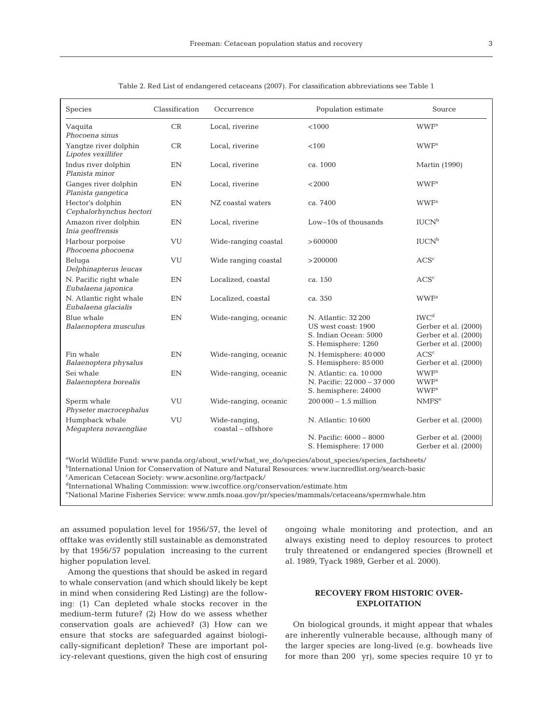| Species                                                                                                                                                                    | Classification | Occurrence                               | Population estimate                                                                        | Source                                                                                   |  |
|----------------------------------------------------------------------------------------------------------------------------------------------------------------------------|----------------|------------------------------------------|--------------------------------------------------------------------------------------------|------------------------------------------------------------------------------------------|--|
| Vaquita<br>Phocoena sinus                                                                                                                                                  | CR             | Local, riverine                          | < 1000                                                                                     | <b>WWF</b> <sup>a</sup>                                                                  |  |
| Yangtze river dolphin<br>Lipotes vexillifer                                                                                                                                | CR             | Local, riverine                          | < 100                                                                                      | <b>WWF</b> <sup>a</sup>                                                                  |  |
| Indus river dolphin<br>Planista minor                                                                                                                                      | EN             | Local, riverine                          | ca. 1000                                                                                   | <b>Martin</b> (1990)                                                                     |  |
| Ganges river dolphin<br>Planista gangetica                                                                                                                                 | EN             | Local, riverine                          | < 2000                                                                                     | <b>WWF</b> <sup>a</sup>                                                                  |  |
| Hector's dolphin<br>Cephalorhynchus hectori                                                                                                                                | EN             | NZ coastal waters                        | ca. 7400                                                                                   | <b>WWF</b> <sup>a</sup>                                                                  |  |
| Amazon river dolphin<br>Inia geoffrensis                                                                                                                                   | EN             | Local, riverine                          | Low-10s of thousands                                                                       | IUCN <sup>b</sup>                                                                        |  |
| Harbour porpoise<br>Phocoena phocoena                                                                                                                                      | VU             | Wide-ranging coastal                     | >600000                                                                                    | IUCN <sup>b</sup>                                                                        |  |
| Beluga<br>Delphinapterus leucas                                                                                                                                            | VU             | Wide ranging coastal                     | >200000                                                                                    | ACS <sup>c</sup>                                                                         |  |
| N. Pacific right whale<br>Eubalaena japonica                                                                                                                               | EN             | Localized, coastal                       | ca. 150                                                                                    | ACS <sup>c</sup>                                                                         |  |
| N. Atlantic right whale<br>Eubalaena glacialis                                                                                                                             | EN             | Localized, coastal                       | ca. 350                                                                                    | <b>WWF</b> <sup>a</sup>                                                                  |  |
| Blue whale<br>Balaenoptera musculus                                                                                                                                        | EN             | Wide-ranging, oceanic                    | N. Atlantic: 32 200<br>US west coast: 1900<br>S. Indian Ocean: 5000<br>S. Hemisphere: 1260 | IWC <sup>d</sup><br>Gerber et al. (2000)<br>Gerber et al. (2000)<br>Gerber et al. (2000) |  |
| Fin whale<br>Balaenoptera physalus                                                                                                                                         | EN             | Wide-ranging, oceanic                    | N. Hemisphere: 40000<br>S. Hemisphere: 85 000                                              | ACS <sup>c</sup><br>Gerber et al. (2000)                                                 |  |
| Sei whale<br>Balaenoptera borealis                                                                                                                                         | EN             | Wide-ranging, oceanic                    | N. Atlantic: ca. 10000<br>N. Pacific: 22000 - 37000<br>S. hemisphere: 24000                | <b>WWF</b> <sup>a</sup><br><b>WWF</b> <sup>a</sup><br><b>WWF</b> <sup>a</sup>            |  |
| Sperm whale<br>Physeter macrocephalus                                                                                                                                      | VU             | Wide-ranging, oceanic                    | $200000 - 1.5$ million                                                                     | NMFS <sup>e</sup>                                                                        |  |
| Humpback whale<br>Megaptera novaengliae                                                                                                                                    | VU             | Wide-ranging,<br>$\cos\theta$ - offshore | N. Atlantic: 10600                                                                         | Gerber et al. (2000)                                                                     |  |
|                                                                                                                                                                            |                |                                          | N. Pacific: 6000 - 8000<br>S. Hemisphere: 17000                                            | Gerber et al. (2000)<br>Gerber et al. (2000)                                             |  |
| aWorld Wildlife Fund: www.panda.org/about_wwf/what_we_do/species/about_species/species_factsheets/<br><b>Contract Contract Contract</b><br>$6.37 \times 1$<br>$\mathbf{1}$ |                |                                          |                                                                                            |                                                                                          |  |

Table 2. Red List of endangered cetaceans (2007). For classification abbreviations see Table 1

bInternational Union for Conservation of Nature and Natural Resources: www.iucnredlist.org/search-basic

c American Cetacean Society: www.acsonline.org/factpack/

dInternational Whaling Commission: www.iwcoffice.org/conservation/estimate.htm

e National Marine Fisheries Service: www.nmfs.noaa.gov/pr/species/mammals/cetaceans/spermwhale.htm

an assumed population level for 1956/57, the level of offtake was evidently still sustainable as demonstrated by that 1956/57 population increasing to the current higher population level.

Among the questions that should be asked in regard to whale conservation (and which should likely be kept in mind when considering Red Listing) are the following: (1) Can depleted whale stocks recover in the medium-term future? (2) How do we assess whether conservation goals are achieved? (3) How can we ensure that stocks are safeguarded against biologically-significant depletion? These are important policy-relevant questions, given the high cost of ensuring ongoing whale monitoring and protection, and an always existing need to deploy resources to protect truly threatened or endangered species (Brownell et al. 1989, Tyack 1989, Gerber et al. 2000).

## **RECOVERY FROM HISTORIC OVER-EXPLOITATION**

On biological grounds, it might appear that whales are inherently vulnerable because, although many of the larger species are long-lived (e.g. bowheads live for more than 200 yr), some species require 10 yr to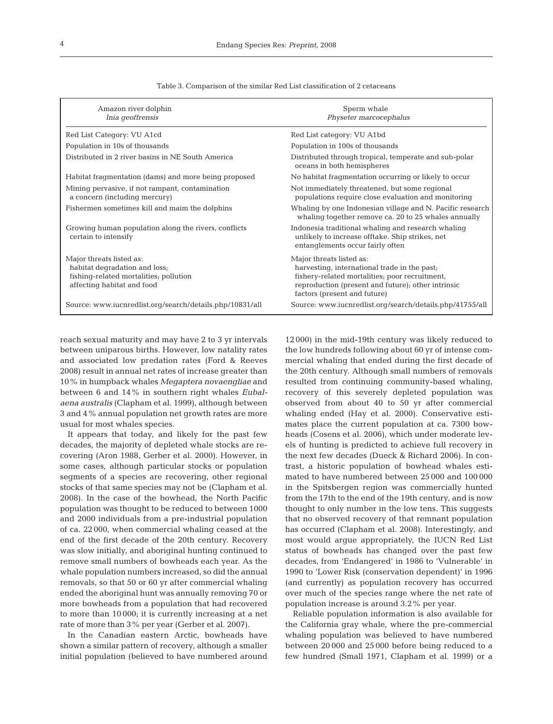| Amazon river dolphin<br>Inia geoffrensis                                                                                          | Sperm whale<br>Physeter marcocephalus                                                                                                                                                                            |
|-----------------------------------------------------------------------------------------------------------------------------------|------------------------------------------------------------------------------------------------------------------------------------------------------------------------------------------------------------------|
| Red List Category: VU A1cd                                                                                                        | Red List category: VU A1bd                                                                                                                                                                                       |
| Population in 10s of thousands                                                                                                    | Population in 100s of thousands                                                                                                                                                                                  |
| Distributed in 2 river basins in NE South America                                                                                 | Distributed through tropical, temperate and sub-polar<br>oceans in both hemispheres                                                                                                                              |
| Habitat fragmentation (dams) and more being proposed                                                                              | No habitat fragmentation occurring or likely to occur                                                                                                                                                            |
| Mining pervasive, if not rampant, contamination<br>a concern (including mercury)                                                  | Not immediately threatened, but some regional<br>populations require close evaluation and monitoring                                                                                                             |
| Fishermen sometimes kill and maim the dolphins                                                                                    | Whaling by one Indonesian village and N. Pacific research<br>whaling together remove ca. 20 to 25 whales annually                                                                                                |
| Growing human population along the rivers, conflicts<br>certain to intensify                                                      | Indonesia traditional whaling and research whaling<br>unlikely to increase offtake. Ship strikes, net<br>entanglements occur fairly often                                                                        |
| Major threats listed as:<br>habitat degradation and loss;<br>fishing-related mortalities; pollution<br>affecting habitat and food | Major threats listed as:<br>harvesting, international trade in the past;<br>fishery-related mortalities; poor recruitment,<br>reproduction (present and future); other intrinsic<br>factors (present and future) |
| Source: www.iucnredlist.org/search/details.php/10831/all                                                                          | Source: www.iucnredlist.org/search/details.php/41755/all                                                                                                                                                         |

Table 3. Comparison of the similar Red List classification of 2 cetaceans

reach sexual maturity and may have 2 to 3 yr intervals between uniparous births. However, low natality rates and associated low predation rates (Ford & Reeves 2008) result in annual net rates of increase greater than 10% in humpback whales *Megaptera novaengliae* and between 6 and 14% in southern right whales *Eubalaena australis* (Clapham et al. 1999), although between 3 and 4% annual population net growth rates are more usual for most whales species.

It appears that today, and likely for the past few decades, the majority of depleted whale stocks are recovering (Aron 1988, Gerber et al. 2000). However, in some cases, although particular stocks or population segments of a species are recovering, other regional stocks of that same species may not be (Clapham et al. 2008). In the case of the bowhead, the North Pacific population was thought to be reduced to between 1000 and 2000 individuals from a pre-industrial population of ca. 22 000, when commercial whaling ceased at the end of the first decade of the 20th century. Recovery was slow initially, and aboriginal hunting continued to remove small numbers of bowheads each year. As the whale population numbers increased, so did the annual removals, so that 50 or 60 yr after commercial whaling ended the aboriginal hunt was annually removing 70 or more bowheads from a population that had recovered to more than 10 000; it is currently increasing at a net rate of more than 3% per year (Gerber et al. 2007).

In the Canadian eastern Arctic, bowheads have shown a similar pattern of recovery, although a smaller initial population (believed to have numbered around 12 000) in the mid-19th century was likely reduced to the low hundreds following about 60 yr of intense commercial whaling that ended during the first decade of the 20th century. Although small numbers of removals resulted from continuing community-based whaling, recovery of this severely depleted population was observed from about 40 to 50 yr after commercial whaling ended (Hay et al. 2000). Conservative estimates place the current population at ca. 7300 bowheads (Cosens et al. 2006), which under moderate levels of hunting is predicted to achieve full recovery in the next few decades (Dueck & Richard 2006). In contrast, a historic population of bowhead whales estimated to have numbered between 25 000 and 100 000 in the Spitsbergen region was commercially hunted from the 17th to the end of the 19th century, and is now thought to only number in the low tens. This suggests that no observed recovery of that remnant population has occurred (Clapham et al. 2008). Interestingly, and most would argue appropriately, the IUCN Red List status of bowheads has changed over the past few decades, from 'Endangered' in 1986 to 'Vulnerable' in 1990 to 'Lower Risk (conservation dependent)' in 1996 (and currently) as population recovery has occurred over much of the species range where the net rate of population increase is around 3.2% per year.

Reliable population information is also available for the California gray whale, where the pre-commercial whaling population was believed to have numbered between 20 000 and 25 000 before being reduced to a few hundred (Small 1971, Clapham et al. 1999) or a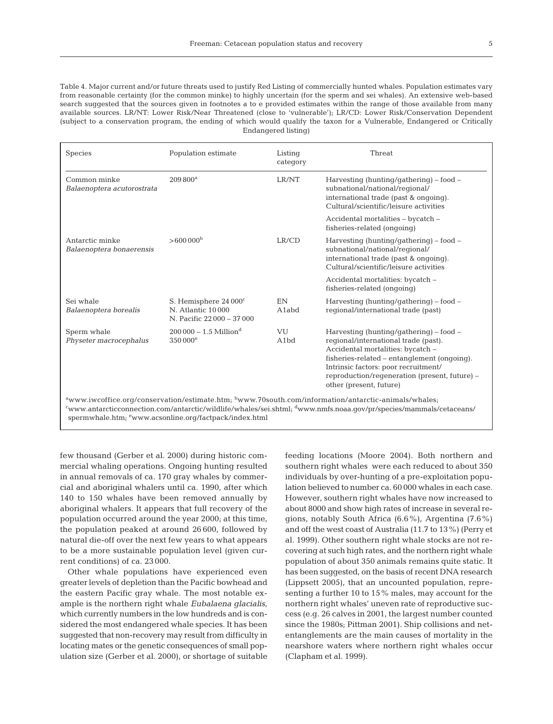Table 4. Major current and/or future threats used to justify Red Listing of commercially hunted whales. Population estimates vary from reasonable certainty (for the common minke) to highly uncertain (for the sperm and sei whales). An extensive web-based search suggested that the sources given in footnotes a to e provided estimates within the range of those available from many available sources. LR/NT: Lower Risk/Near Threatened (close to 'vulnerable'); LR/CD: Lower Risk/Conservation Dependent (subject to a conservation program, the ending of which would qualify the taxon for a Vulnerable, Endangered or Critically Endangered listing)

| Species                                                                                                                                                                                                                                                                              | Population estimate                                                    | Listing<br>category     | Threat                                                                                                                                                                                                                                                                                      |  |  |
|--------------------------------------------------------------------------------------------------------------------------------------------------------------------------------------------------------------------------------------------------------------------------------------|------------------------------------------------------------------------|-------------------------|---------------------------------------------------------------------------------------------------------------------------------------------------------------------------------------------------------------------------------------------------------------------------------------------|--|--|
| Common minke<br>Balaenoptera acutorostrata                                                                                                                                                                                                                                           | $209800^a$                                                             | LR/NT                   | Harvesting (hunting/gathering) - food -<br>subnational/national/regional/<br>international trade (past & ongoing).<br>Cultural/scientific/leisure activities                                                                                                                                |  |  |
|                                                                                                                                                                                                                                                                                      |                                                                        |                         | Accidental mortalities - bycatch -<br>fisheries-related (ongoing)                                                                                                                                                                                                                           |  |  |
| Antarctic minke<br>Balaenoptera bonaerensis                                                                                                                                                                                                                                          | $>600000$ <sup>b</sup>                                                 | LR/CD                   | Harvesting (hunting/gathering) $-$ food $-$<br>subnational/national/regional/<br>international trade (past & ongoing).<br>Cultural/scientific/leisure activities                                                                                                                            |  |  |
|                                                                                                                                                                                                                                                                                      |                                                                        |                         | Accidental mortalities: bycatch -<br>fisheries-related (ongoing)                                                                                                                                                                                                                            |  |  |
| Sei whale<br>Balaenoptera borealis                                                                                                                                                                                                                                                   | S. Hemisphere 24 000°<br>N. Atlantic 10000<br>N. Pacific 22000 - 37000 | EN<br>A1abd             | Harvesting (hunting/gathering) $-$ food $-$<br>regional/international trade (past)                                                                                                                                                                                                          |  |  |
| Sperm whale<br>Physeter macrocephalus                                                                                                                                                                                                                                                | $200000 - 1.5$ Million <sup>d</sup><br>350 000 <sup>e</sup>            | VU<br>A <sub>1</sub> bd | Harvesting (hunting/gathering) $-$ food $-$<br>regional/international trade (past).<br>Accidental mortalities: bycatch -<br>fisheries-related - entanglement (ongoing).<br>Intrinsic factors: poor recruitment/<br>reproduction/regeneration (present, future) -<br>other (present, future) |  |  |
| awww.iwcoffice.org/conservation/estimate.htm; bwww.70south.com/information/antarctic-animals/whales;<br>"www.antarcticconnection.com/antarctic/wildlife/whales/sei.shtml; dwww.nmfs.noaa.gov/pr/species/mammals/cetaceans/<br>spermwhale.htm; ewww.acsonline.org/factpack/index.html |                                                                        |                         |                                                                                                                                                                                                                                                                                             |  |  |

few thousand (Gerber et al. 2000) during historic commercial whaling operations. Ongoing hunting resulted in annual removals of ca. 170 gray whales by commercial and aboriginal whalers until ca. 1990, after which 140 to 150 whales have been removed annually by aboriginal whalers. It appears that full recovery of the population occurred around the year 2000; at this time, the population peaked at around 26 600, followed by natural die-off over the next few years to what appears to be a more sustainable population level (given current conditions) of ca. 23 000.

Other whale populations have experienced even greater levels of depletion than the Pacific bowhead and the eastern Pacific gray whale. The most notable example is the northern right whale *Eubalaena glacialis*, which currently numbers in the low hundreds and is considered the most endangered whale species. It has been suggested that non-recovery may result from difficulty in locating mates or the genetic consequences of small population size (Gerber et al. 2000), or shortage of suitable feeding locations (Moore 2004). Both northern and southern right whales were each reduced to about 350 individuals by over-hunting of a pre-exploitation population believed to number ca. 60 000 whales in each case. However, southern right whales have now increased to about 8000 and show high rates of increase in several regions, notably South Africa (6.6%), Argentina (7.6%) and off the west coast of Australia (11.7 to 13%) (Perry et al. 1999). Other southern right whale stocks are not recovering at such high rates, and the northern right whale population of about 350 animals remains quite static. It has been suggested, on the basis of recent DNA research (Lippsett 2005), that an uncounted population, representing a further 10 to 15% males, may account for the northern right whales' uneven rate of reproductive success (e.g. 26 calves in 2001, the largest number counted since the 1980s; Pittman 2001). Ship collisions and netentanglements are the main causes of mortality in the nearshore waters where northern right whales occur (Clapham et al. 1999).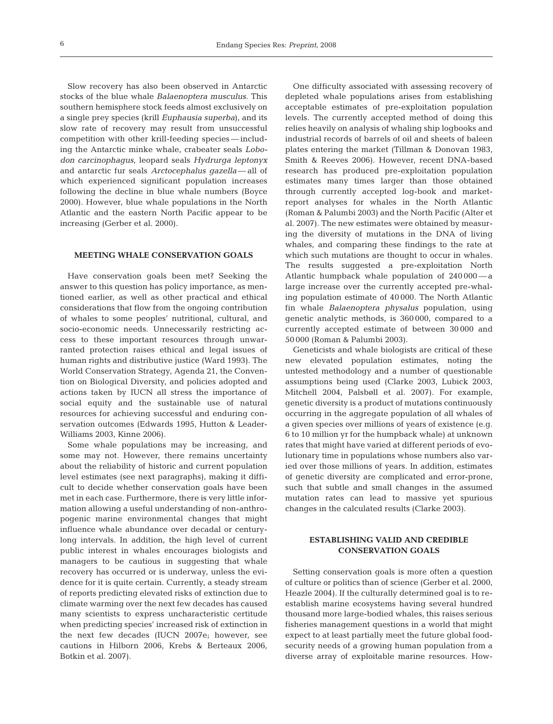Slow recovery has also been observed in Antarctic stocks of the blue whale *Balaenoptera musculus*. This southern hemisphere stock feeds almost exclusively on a single prey species (krill *Euphausia superba*), and its slow rate of recovery may result from unsuccessful competition with other krill-feeding species — including the Antarctic minke whale, crabeater seals *Lobodon carcinophagus*, leopard seals *Hydrurga leptonyx* and antarctic fur seals *Arctocephalus gazella*— all of which experienced significant population increases following the decline in blue whale numbers (Boyce 2000). However, blue whale populations in the North Atlantic and the eastern North Pacific appear to be increasing (Gerber et al. 2000).

## **MEETING WHALE CONSERVATION GOALS**

Have conservation goals been met? Seeking the answer to this question has policy importance, as mentioned earlier, as well as other practical and ethical considerations that flow from the ongoing contribution of whales to some peoples' nutritional, cultural, and socio-economic needs. Unnecessarily restricting access to these important resources through unwarranted protection raises ethical and legal issues of human rights and distributive justice (Ward 1993). The World Conservation Strategy, Agenda 21, the Convention on Biological Diversity, and policies adopted and actions taken by IUCN all stress the importance of social equity and the sustainable use of natural resources for achieving successful and enduring conservation outcomes (Edwards 1995, Hutton & Leader-Williams 2003, Kinne 2006).

Some whale populations may be increasing, and some may not. However, there remains uncertainty about the reliability of historic and current population level estimates (see next paragraphs), making it difficult to decide whether conservation goals have been met in each case. Furthermore, there is very little information allowing a useful understanding of non-anthropogenic marine environmental changes that might influence whale abundance over decadal or centurylong intervals. In addition, the high level of current public interest in whales encourages biologists and managers to be cautious in suggesting that whale recovery has occurred or is underway, unless the evidence for it is quite certain. Currently, a steady stream of reports predicting elevated risks of extinction due to climate warming over the next few decades has caused many scientists to express uncharacteristic certitude when predicting species' increased risk of extinction in the next few decades (IUCN 2007e; however, see cautions in Hilborn 2006, Krebs & Berteaux 2006, Botkin et al. 2007).

One difficulty associated with assessing recovery of depleted whale populations arises from establishing acceptable estimates of pre-exploitation population levels. The currently accepted method of doing this relies heavily on analysis of whaling ship logbooks and industrial records of barrels of oil and sheets of baleen plates entering the market (Tillman & Donovan 1983, Smith & Reeves 2006). However, recent DNA-based research has produced pre-exploitation population estimates many times larger than those obtained through currently accepted log-book and marketreport analyses for whales in the North Atlantic (Roman & Palumbi 2003) and the North Pacific (Alter et al. 2007). The new estimates were obtained by measuring the diversity of mutations in the DNA of living whales, and comparing these findings to the rate at which such mutations are thought to occur in whales. The results suggested a pre-exploitation North Atlantic humpback whale population of 240 000 — a large increase over the currently accepted pre-whaling population estimate of 40 000. The North Atlantic fin whale *Balaenoptera physalus* population, using genetic analytic methods, is 360 000, compared to a currently accepted estimate of between 30 000 and 50 000 (Roman & Palumbi 2003).

Geneticists and whale biologists are critical of these new elevated population estimates, noting the untested methodology and a number of questionable assumptions being used (Clarke 2003, Lubick 2003, Mitchell 2004, Palsbøll et al. 2007). For example, genetic diversity is a product of mutations continuously occurring in the aggregate population of all whales of a given species over millions of years of existence (e.g. 6 to 10 million yr for the humpback whale) at unknown rates that might have varied at different periods of evolutionary time in populations whose numbers also varied over those millions of years. In addition, estimates of genetic diversity are complicated and error-prone, such that subtle and small changes in the assumed mutation rates can lead to massive yet spurious changes in the calculated results (Clarke 2003).

## **ESTABLISHING VALID AND CREDIBLE CONSERVATION GOALS**

Setting conservation goals is more often a question of culture or politics than of science (Gerber et al. 2000, Heazle 2004). If the culturally determined goal is to reestablish marine ecosystems having several hundred thousand more large-bodied whales, this raises serious fisheries management questions in a world that might expect to at least partially meet the future global foodsecurity needs of a growing human population from a diverse array of exploitable marine resources. How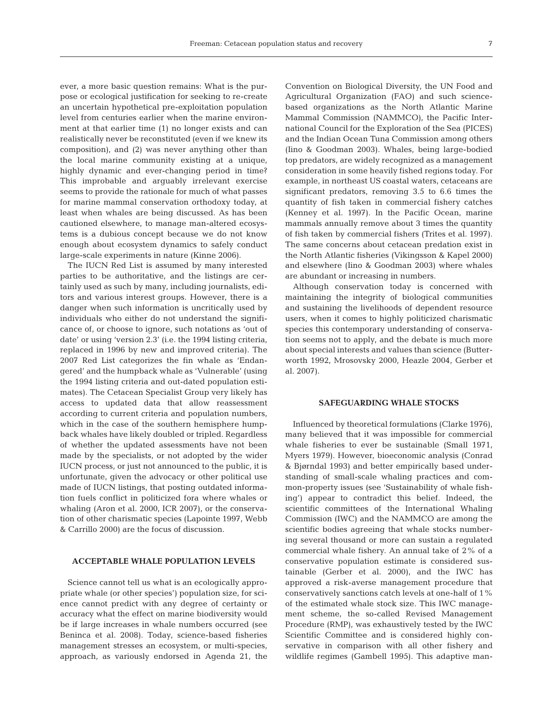ever, a more basic question remains: What is the purpose or ecological justification for seeking to re-create an uncertain hypothetical pre-exploitation population level from centuries earlier when the marine environment at that earlier time (1) no longer exists and can realistically never be reconstituted (even if we knew its composition), and (2) was never anything other than the local marine community existing at a unique, highly dynamic and ever-changing period in time? This improbable and arguably irrelevant exercise seems to provide the rationale for much of what passes for marine mammal conservation orthodoxy today, at least when whales are being discussed. As has been cautioned elsewhere, to manage man-altered ecosystems is a dubious concept because we do not know enough about ecosystem dynamics to safely conduct large-scale experiments in nature (Kinne 2006).

The IUCN Red List is assumed by many interested parties to be authoritative, and the listings are certainly used as such by many, including journalists, editors and various interest groups. However, there is a danger when such information is uncritically used by individuals who either do not understand the significance of, or choose to ignore, such notations as 'out of date' or using 'version 2.3' (i.e. the 1994 listing criteria, replaced in 1996 by new and improved criteria). The 2007 Red List categorizes the fin whale as 'Endangered' and the humpback whale as 'Vulnerable' (using the 1994 listing criteria and out-dated population estimates). The Cetacean Specialist Group very likely has access to updated data that allow reassessment according to current criteria and population numbers, which in the case of the southern hemisphere humpback whales have likely doubled or tripled. Regardless of whether the updated assessments have not been made by the specialists, or not adopted by the wider IUCN process, or just not announced to the public, it is unfortunate, given the advocacy or other political use made of IUCN listings, that posting outdated information fuels conflict in politicized fora where whales or whaling (Aron et al. 2000, ICR 2007), or the conservation of other charismatic species (Lapointe 1997, Webb & Carrillo 2000) are the focus of discussion.

## **ACCEPTABLE WHALE POPULATION LEVELS**

Science cannot tell us what is an ecologically appropriate whale (or other species') population size, for science cannot predict with any degree of certainty or accuracy what the effect on marine biodiversity would be if large increases in whale numbers occurred (see Beninca et al. 2008). Today, science-based fisheries management stresses an ecosystem, or multi-species, approach, as variously endorsed in Agenda 21, the Convention on Biological Diversity, the UN Food and Agricultural Organization (FAO) and such sciencebased organizations as the North Atlantic Marine Mammal Commission (NAMMCO), the Pacific International Council for the Exploration of the Sea (PICES) and the Indian Ocean Tuna Commission among others (Iino & Goodman 2003). Whales, being large-bodied top predators, are widely recognized as a management consideration in some heavily fished regions today. For example, in northeast US coastal waters, cetaceans are significant predators, removing 3.5 to 6.6 times the quantity of fish taken in commercial fishery catches (Kenney et al. 1997). In the Pacific Ocean, marine mammals annually remove about 3 times the quantity of fish taken by commercial fishers (Trites et al. 1997). The same concerns about cetacean predation exist in the North Atlantic fisheries (Vikingsson & Kapel 2000) and elsewhere (Iino & Goodman 2003) where whales are abundant or increasing in numbers.

Although conservation today is concerned with maintaining the integrity of biological communities and sustaining the livelihoods of dependent resource users, when it comes to highly politicized charismatic species this contemporary understanding of conservation seems not to apply, and the debate is much more about special interests and values than science (Butterworth 1992, Mrosovsky 2000, Heazle 2004, Gerber et al. 2007).

## **SAFEGUARDING WHALE STOCKS**

Influenced by theoretical formulations (Clarke 1976), many believed that it was impossible for commercial whale fisheries to ever be sustainable (Small 1971, Myers 1979). However, bioeconomic analysis (Conrad & Bjørndal 1993) and better empirically based understanding of small-scale whaling practices and common-property issues (see 'Sustainability of whale fishing') appear to contradict this belief. Indeed, the scientific committees of the International Whaling Commission (IWC) and the NAMMCO are among the scientific bodies agreeing that whale stocks numbering several thousand or more can sustain a regulated commercial whale fishery. An annual take of 2% of a conservative population estimate is considered sustainable (Gerber et al. 2000), and the IWC has approved a risk-averse management procedure that conservatively sanctions catch levels at one-half of 1% of the estimated whale stock size. This IWC management scheme, the so-called Revised Management Procedure (RMP), was exhaustively tested by the IWC Scientific Committee and is considered highly conservative in comparison with all other fishery and wildlife regimes (Gambell 1995). This adaptive man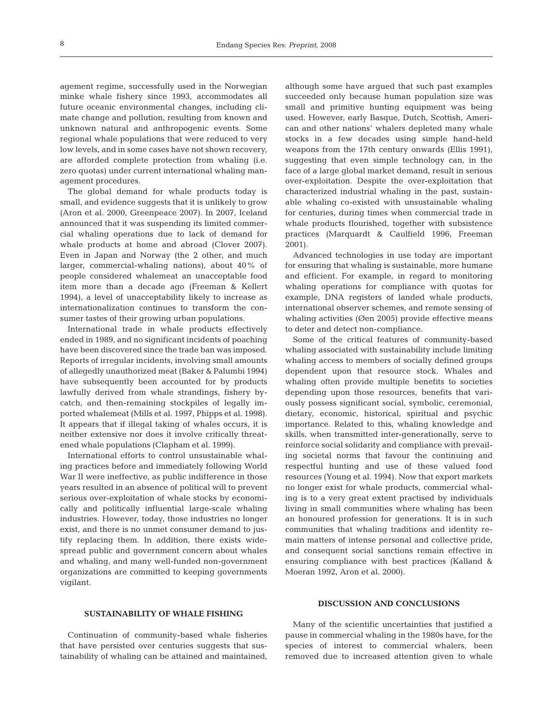agement regime, successfully used in the Norwegian minke whale fishery since 1993, accommodates all future oceanic environmental changes, including climate change and pollution, resulting from known and unknown natural and anthropogenic events. Some regional whale populations that were reduced to very low levels, and in some cases have not shown recovery, are afforded complete protection from whaling (i.e. zero quotas) under current international whaling management procedures.

The global demand for whale products today is small, and evidence suggests that it is unlikely to grow (Aron et al. 2000, Greenpeace 2007). In 2007, Iceland announced that it was suspending its limited commercial whaling operations due to lack of demand for whale products at home and abroad (Clover 2007). Even in Japan and Norway (the 2 other, and much larger, commercial-whaling nations), about 40% of people considered whalemeat an unacceptable food item more than a decade ago (Freeman & Kellert 1994), a level of unacceptability likely to increase as internationalization continues to transform the consumer tastes of their growing urban populations.

International trade in whale products effectively ended in 1989, and no significant incidents of poaching have been discovered since the trade ban was imposed. Reports of irregular incidents, involving small amounts of allegedly unauthorized meat (Baker & Palumbi 1994) have subsequently been accounted for by products lawfully derived from whale strandings, fishery bycatch, and then-remaining stockpiles of legally imported whalemeat (Mills et al. 1997, Phipps et al. 1998). It appears that if illegal taking of whales occurs, it is neither extensive nor does it involve critically threatened whale populations (Clapham et al. 1999).

International efforts to control unsustainable whaling practices before and immediately following World War II were ineffective, as public indifference in those years resulted in an absence of political will to prevent serious over-exploitation of whale stocks by economically and politically influential large-scale whaling industries. However, today, those industries no longer exist, and there is no unmet consumer demand to justify replacing them. In addition, there exists widespread public and government concern about whales and whaling, and many well-funded non-government organizations are committed to keeping governments vigilant.

although some have argued that such past examples succeeded only because human population size was small and primitive hunting equipment was being used. However, early Basque, Dutch, Scottish, American and other nations' whalers depleted many whale stocks in a few decades using simple hand-held weapons from the 17th century onwards (Ellis 1991), suggesting that even simple technology can, in the face of a large global market demand, result in serious over-exploitation. Despite the over-exploitation that characterized industrial whaling in the past, sustainable whaling co-existed with unsustainable whaling for centuries, during times when commercial trade in whale products flourished, together with subsistence practices (Marquardt & Caulfield 1996, Freeman 2001).

Advanced technologies in use today are important for ensuring that whaling is sustainable, more humane and efficient. For example, in regard to monitoring whaling operations for compliance with quotas for example, DNA registers of landed whale products, international observer schemes, and remote sensing of whaling activities (Øen 2005) provide effective means to deter and detect non-compliance.

Some of the critical features of community-based whaling associated with sustainability include limiting whaling access to members of socially defined groups dependent upon that resource stock. Whales and whaling often provide multiple benefits to societies depending upon those resources, benefits that variously possess significant social, symbolic, ceremonial, dietary, economic, historical, spiritual and psychic importance. Related to this, whaling knowledge and skills, when transmitted inter-generationally, serve to reinforce social solidarity and compliance with prevailing societal norms that favour the continuing and respectful hunting and use of these valued food resources (Young et al. 1994). Now that export markets no longer exist for whale products, commercial whaling is to a very great extent practised by individuals living in small communities where whaling has been an honoured profession for generations. It is in such communities that whaling traditions and identity remain matters of intense personal and collective pride, and consequent social sanctions remain effective in ensuring compliance with best practices (Kalland & Moeran 1992, Aron et al. 2000).

## **SUSTAINABILITY OF WHALE FISHING**

Continuation of community-based whale fisheries that have persisted over centuries suggests that sustainability of whaling can be attained and maintained,

## **DISCUSSION AND CONCLUSIONS**

Many of the scientific uncertainties that justified a pause in commercial whaling in the 1980s have, for the species of interest to commercial whalers, been removed due to increased attention given to whale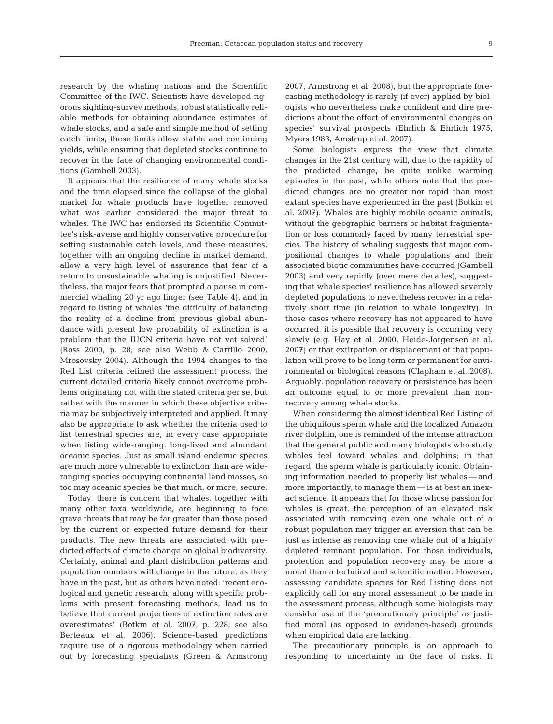research by the whaling nations and the Scientific Committee of the IWC. Scientists have developed rigorous sighting-survey methods, robust statistically reliable methods for obtaining abundance estimates of whale stocks, and a safe and simple method of setting catch limits; these limits allow stable and continuing yields, while ensuring that depleted stocks continue to recover in the face of changing environmental conditions (Gambell 2003).

It appears that the resilience of many whale stocks and the time elapsed since the collapse of the global market for whale products have together removed what was earlier considered the major threat to whales. The IWC has endorsed its Scientific Committee's risk-averse and highly conservative procedure for setting sustainable catch levels, and these measures, together with an ongoing decline in market demand, allow a very high level of assurance that fear of a return to unsustainable whaling is unjustified. Nevertheless, the major fears that prompted a pause in commercial whaling 20 yr ago linger (see Table 4), and in regard to listing of whales 'the difficulty of balancing the reality of a decline from previous global abundance with present low probability of extinction is a problem that the IUCN criteria have not yet solved' (Ross 2000, p. 28; see also Webb & Carrillo 2000, Mrosovsky 2004). Although the 1994 changes to the Red List criteria refined the assessment process, the current detailed criteria likely cannot overcome problems originating not with the stated criteria per se, but rather with the manner in which these objective criteria may be subjectively interpreted and applied. It may also be appropriate to ask whether the criteria used to list terrestrial species are, in every case appropriate when listing wide-ranging, long-lived and abundant oceanic species. Just as small island endemic species are much more vulnerable to extinction than are wideranging species occupying continental land masses, so too may oceanic species be that much, or more, secure.

Today, there is concern that whales, together with many other taxa worldwide, are beginning to face grave threats that may be far greater than those posed by the current or expected future demand for their products. The new threats are associated with predicted effects of climate change on global biodiversity. Certainly, animal and plant distribution patterns and population numbers will change in the future, as they have in the past, but as others have noted: 'recent ecological and genetic research, along with specific problems with present forecasting methods, lead us to believe that current projections of extinction rates are overestimates' (Botkin et al. 2007, p. 228; see also Berteaux et al. 2006). Science-based predictions require use of a rigorous methodology when carried out by forecasting specialists (Green & Armstrong

2007, Armstrong et al. 2008), but the appropriate forecasting methodology is rarely (if ever) applied by biologists who nevertheless make confident and dire predictions about the effect of environmental changes on species' survival prospects (Ehrlich & Ehrlich 1975, Myers 1983, Amstrup et al. 2007).

Some biologists express the view that climate changes in the 21st century will, due to the rapidity of the predicted change, be quite unlike warming episodes in the past, while others note that the predicted changes are no greater nor rapid than most extant species have experienced in the past (Botkin et al. 2007). Whales are highly mobile oceanic animals, without the geographic barriers or habitat fragmentation or loss commonly faced by many terrestrial species. The history of whaling suggests that major compositional changes to whale populations and their associated biotic communities have occurred (Gambell 2003) and very rapidly (over mere decades), suggesting that whale species' resilience has allowed severely depleted populations to nevertheless recover in a relatively short time (in relation to whale longevity). In those cases where recovery has not appeared to have occurred, it is possible that recovery is occurring very slowly (e.g. Hay et al. 2000, Heide-Jorgensen et al. 2007) or that extirpation or displacement of that population will prove to be long term or permanent for environmental or biological reasons (Clapham et al. 2008). Arguably, population recovery or persistence has been an outcome equal to or more prevalent than nonrecovery among whale stocks.

When considering the almost identical Red Listing of the ubiquitous sperm whale and the localized Amazon river dolphin, one is reminded of the intense attraction that the general public and many biologists who study whales feel toward whales and dolphins; in that regard, the sperm whale is particularly iconic. Obtaining information needed to properly list whales — and more importantly, to manage them — is at best an inexact science. It appears that for those whose passion for whales is great, the perception of an elevated risk associated with removing even one whale out of a robust population may trigger an aversion that can be just as intense as removing one whale out of a highly depleted remnant population. For those individuals, protection and population recovery may be more a moral than a technical and scientific matter. However, assessing candidate species for Red Listing does not explicitly call for any moral assessment to be made in the assessment process, although some biologists may consider use of the 'precautionary principle' as justified moral (as opposed to evidence-based) grounds when empirical data are lacking.

The precautionary principle is an approach to responding to uncertainty in the face of risks. It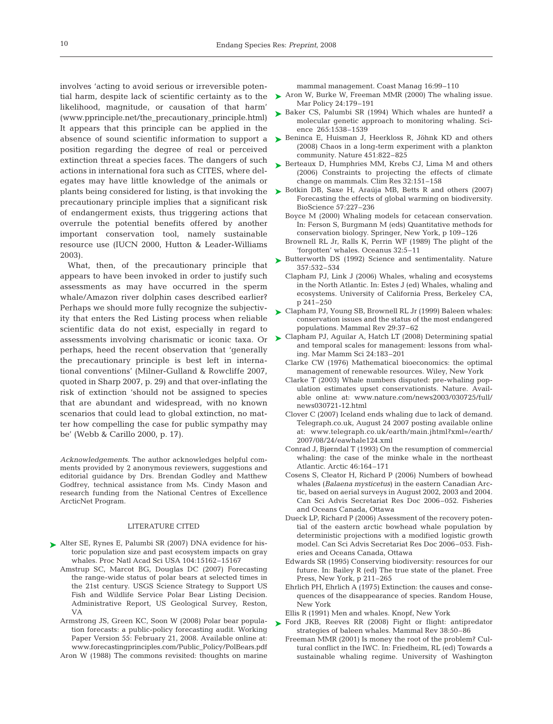involves 'acting to avoid serious or irreversible potenlikelihood, magnitude, or causation of that harm' (www.pprinciple.net/the\_precautionary\_principle.html) It appears that this principle can be applied in the absence of sound scientific information to support a position regarding the degree of real or perceived extinction threat a species faces. The dangers of such actions in international fora such as CITES, where delegates may have little knowledge of the animals or precautionary principle implies that a significant risk of endangerment exists, thus triggering actions that overrule the potential benefits offered by another important conservation tool, namely sustainable resource use (IUCN 2000, Hutton & Leader-Williams 2003).

What, then, of the precautionary principle that appears to have been invoked in order to justify such assessments as may have occurred in the sperm whale/Amazon river dolphin cases described earlier? Perhaps we should more fully recognize the subjectivity that enters the Red Listing process when reliable scientific data do not exist, especially in regard to perhaps, heed the recent observation that 'generally the precautionary principle is best left in international conventions' (Milner-Gulland & Rowcliffe 2007, quoted in Sharp 2007, p. 29) and that over-inflating the risk of extinction 'should not be assigned to species that are abundant and widespread, with no known scenarios that could lead to global extinction, no matter how compelling the case for public sympathy may be' (Webb & Carillo 2000, p. 17).

*Acknowledgements.* The author acknowledges helpful comments provided by 2 anonymous reviewers, suggestions and editorial guidance by Drs. Brendan Godley and Matthew Godfrey, technical assistance from Ms. Cindy Mason and research funding from the National Centres of Excellence ArcticNet Program.

#### LITERATURE CITED

- ▶ Alter SE, Rynes E, Palumbi SR (2007) DNA evidence for historic population size and past ecosystem impacts on gray whales. Proc Natl Acad Sci USA 104:15162–15167
	- Amstrup SC, Marcot BG, Douglas DC (2007) Forecasting the range-wide status of polar bears at selected times in the 21st century. USGS Science Strategy to Support US Fish and Wildlife Service Polar Bear Listing Decision. Administrative Report, US Geological Survey, Reston, VA
	- Armstrong JS, Green KC, Soon W (2008) Polar bear population forecasts: a public-policy forecasting audit. Working Paper Version 55: February 21, 2008. Available online at: www.forecastingprinciples.com/Public\_Policy/PolBears.pdf

Aron W (1988) The commons revisited: thoughts on marine

mammal management. Coast Manag 16:99–110

- tial harm, despite lack of scientific certainty as to the  $\triangleright$  Aron W, Burke W, Freeman MMR (2000) The whaling issue. Mar Policy 24:179–191
	- ► Baker CS, Palumbi SR (1994) Which whales are hunted? a molecular genetic approach to monitoring whaling. Science 265:1538–1539
	- ► Beninca E, Huisman J, Heerkloss R, Jöhnk KD and others (2008) Chaos in a long-term experiment with a plankton community. Nature 451:822–825
	- ► Berteaux D, Humphries MM, Krebs CJ, Lima M and others (2006) Constraints to projecting the effects of climate change on mammals. Clim Res 32:151–158
- plants being considered for listing, is that invoking the  $\triangleright$  Botkin DB, Saxe H, Araúja MB, Betts R and others (2007) Forecasting the effects of global warming on biodiversity. BioScience 57:227–236
	- Boyce M (2000) Whaling models for cetacean conservation. In: Ferson S, Burgmann M (eds) Quantitative methods for conservation biology. Springer, New York, p 109–126
	- Brownell RL Jr, Ralls K, Perrin WF (1989) The plight of the 'forgotten' whales. Oceanus 32:5–11
	- ► Butterworth DS (1992) Science and sentimentality. Nature 357:532–534
		- Clapham PJ, Link J (2006) Whales, whaling and ecosystems in the North Atlantic. In: Estes J (ed) Whales, whaling and ecosystems. University of California Press, Berkeley CA, p 241–250
	- ► Clapham PJ, Young SB, Brownell RL Jr (1999) Baleen whales: conservation issues and the status of the most endangered populations. Mammal Rev 29:37–62
- assessments involving charismatic or iconic taxa. Or ► Clapham PJ, Aguilar A, Hatch LT (2008) Determining spatial and temporal scales for management: lessons from whaling. Mar Mamm Sci 24:183–201
	- Clarke CW (1976) Mathematical bioeconomics: the optimal management of renewable resources. Wiley, New York
	- Clarke T (2003) Whale numbers disputed: pre-whaling population estimates upset conservationists. Nature. Available online at: www.nature.com/news2003/030725/full/ news030721-12.html
	- Clover C (2007) Iceland ends whaling due to lack of demand. Telegraph.co.uk, August 24 2007 posting available online at: www.telegraph.co.uk/earth/main.jhtml?xml=/earth/ 2007/08/24/eawhale124.xml
	- Conrad J, Bjørndal T (1993) On the resumption of commercial whaling: the case of the minke whale in the northeast Atlantic. Arctic 46:164–171
	- Cosens S, Cleator H, Richard P (2006) Numbers of bowhead whales (*Balaena mysticetus*) in the eastern Canadian Arctic, based on aerial surveys in August 2002, 2003 and 2004. Can Sci Advis Secretariat Res Doc 2006–052. Fisheries and Oceans Canada, Ottawa
	- Dueck LP, Richard P (2006) Assessment of the recovery potential of the eastern arctic bowhead whale population by deterministic projections with a modified logistic growth model. Can Sci Advis Secretariat Res Doc 2006–053. Fisheries and Oceans Canada, Ottawa
	- Edwards SR (1995) Conserving biodiversity: resources for our future. In: Bailey R (ed) The true state of the planet. Free Press, New York, p 211–265
	- Ehrlich PH, Ehrlich A (1975) Extinction: the causes and consequences of the disappearance of species. Random House, New York
	- Ellis R (1991) Men and whales. Knopf, New York
	- ▶ Ford JKB, Reeves RR (2008) Fight or flight: antipredator strategies of baleen whales. Mammal Rev 38:50–86
		- Freeman MMR (2001) Is money the root of the problem? Cultural conflict in the IWC. In: Friedheim, RL (ed) Towards a sustainable whaling regime. University of Washington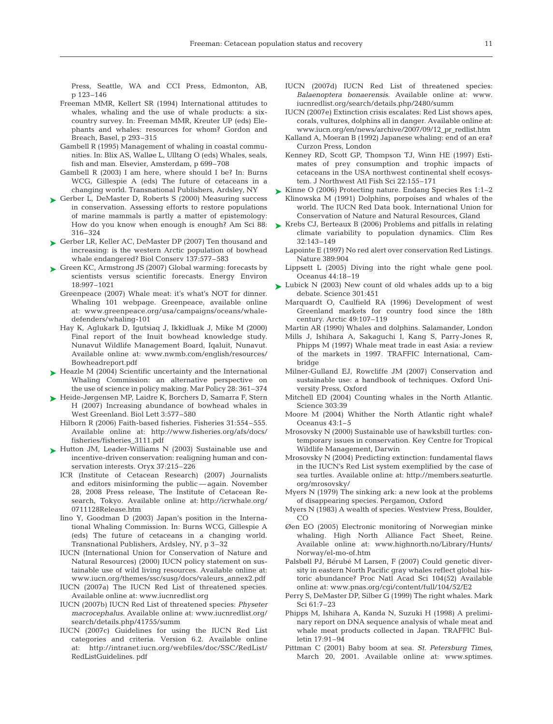Press, Seattle, WA and CCI Press, Edmonton, AB, p 123–146

- Freeman MMR, Kellert SR (1994) International attitudes to whales, whaling and the use of whale products: a sixcountry survey. In: Freeman MMR, Kreuter UP (eds) Elephants and whales: resources for whom? Gordon and Breach, Basel, p 293–315
- Gambell R (1995) Management of whaling in coastal communities. In: Blix AS, Walløe L, Ulltang O (eds) Whales, seals, fish and man. Elsevier, Amsterdam, p 699–708
- Gambell R (2003) I am here, where should I be? In: Burns WCG, Gillespie A (eds) The future of cetaceans in a changing world. Transnational Publishers, Ardsley, NY
- ► Gerber L, DeMaster D, Roberts S (2000) Measuring success in conservation. Assessing efforts to restore populations of marine mammals is partly a matter of epistemology: How do you know when enough is enough? Am Sci 88: 316–324
- ► Gerber LR, Keller AC, DeMaster DP (2007) Ten thousand and increasing: is the western Arctic population of bowhead whale endangered? Biol Conserv 137:577–583
- ► Green KC, Armstrong JS (2007) Global warming: forecasts by scientists versus scientific forecasts. Energy Environ 18:997–1021
	- Greenpeace (2007) Whale meat: it's what's NOT for dinner. Whaling 101 webpage. Greenpeace, available online at: www.greenpeace.org/usa/campaigns/oceans/whaledefenders/whaling-101
	- Hay K, Aglukark D, Igutsiaq J, Ikkidluak J, Mike M (2000) Final report of the Inuit bowhead knowledge study. Nunavut Wildlife Management Board, Iqaluit, Nunavut. Available online at: www.nwmb.com/english/resources/ Bowheadreport.pdf
- ► Heazle M (2004) Scientific uncertainty and the International Whaling Commission: an alternative perspective on the use of science in policy making. Mar Policy 28: 361–374
- ► Heide-Jørgensen MP, Laidre K, Borchers D, Samarra F, Stern H (2007) Increasing abundance of bowhead whales in West Greenland. Biol Lett 3:577–580
	- Hilborn R (2006) Faith-based fisheries. Fisheries 31:554–555. Available online at: http://www.fisheries.org/afs/docs/ fisheries/fisheries\_3111.pdf
- ► Hutton JM, Leader-Williams N (2003) Sustainable use and incentive-driven conservation: realigning human and conservation interests. Oryx 37:215–226
	- ICR (Institute of Cetacean Research) (2007) Journalists and editors misinforming the public — again. November 28, 2008 Press release, The Institute of Cetacean Research, Tokyo. Available online at: http://icrwhale.org/ 0711128Release.htm
	- Iino Y, Goodman D (2003) Japan's position in the International Whaling Commission. In: Burns WCG, Gillespie A (eds) The future of cetaceans in a changing world. Transnational Publishers, Ardsley, NY, p 3–32
	- IUCN (International Union for Conservation of Nature and Natural Resources) (2000) IUCN policy statement on sustainable use of wild living resources. Available online at: www.iucn.org/themes/ssc/susg/docs/valeurs\_annex2.pdf
	- IUCN (2007a) The IUCN Red List of threatened species. Available online at: www.iucnredlist.org
	- IUCN (2007b) IUCN Red List of threatened species: *Physeter macrocephalus*. Available online at: www.iucnredlist.org/ search/details.php/41755/summ
	- IUCN (2007c) Guidelines for using the IUCN Red List categories and criteria. Version 6.2. Available online at: http://intranet.iucn.org/webfiles/doc/SSC/RedList/ RedListGuidelines. pdf
- IUCN (2007d) IUCN Red List of threatened species: *Balaenoptera bonaerensis*. Available online at: www. iucnredlist.org/search/details.php/2480/summ
- IUCN (2007e) Extinction crisis escalates: Red List shows apes, corals, vultures, dolphins all in danger. Available online at: www.iucn.org/en/news/archive/2007/09/12\_pr\_redlist.htm
- Kalland A, Moeran B (1992) Japanese whaling: end of an era? Curzon Press, London
- Kenney RD, Scott GP, Thompson TJ, Winn HE (1997) Estimates of prey consumption and trophic impacts of cetaceans in the USA northwest continental shelf ecosystem. J Northwest Atl Fish Sci 22:155–171

► Kinne O (2006) Protecting nature. Endang Species Res 1:1–2

- Klinowska M (1991) Dolphins, porpoises and whales of the world. The IUCN Red Data book. International Union for Conservation of Nature and Natural Resources, Gland
- ► Krebs CJ, Berteaux B (2006) Problems and pitfalls in relating climate variability to population dynamics. Clim Res 32:143–149
	- Lapointe E (1997) No red alert over conservation Red Listings. Nature 389:904
	- Lippsett L (2005) Diving into the right whale gene pool. Oceanus 44:18–19
- ► Lubick N (2003) New count of old whales adds up to a big debate. Science 301:451
	- Marquardt O, Caulfield RA (1996) Development of west Greenland markets for country food since the 18th century. Arctic 49:107–119

Martin AR (1990) Whales and dolphins. Salamander, London

Mills J, Ishihara A, Sakaguchi I, Kang S, Parry-Jones R, Phipps M (1997) Whale meat trade in east Asia: a review of the markets in 1997. TRAFFIC International, Cambridge

- Milner-Gulland EJ, Rowcliffe JM (2007) Conservation and sustainable use: a handbook of techniques. Oxford University Press, Oxford
- Mitchell ED (2004) Counting whales in the North Atlantic. Science 303:39
- Moore M (2004) Whither the North Atlantic right whale? Oceanus 43:1–5
- Mrosovsky N (2000) Sustainable use of hawksbill turtles: contemporary issues in conservation. Key Centre for Tropical Wildlife Management, Darwin
- Mrosovsky N (2004) Predicting extinction: fundamental flaws in the IUCN's Red List system exemplified by the case of sea turtles. Available online at: http://members.seaturtle. org/mrosovsky/
- Myers N (1979) The sinking ark: a new look at the problems of disappearing species. Pergamon, Oxford
- Myers N (1983) A wealth of species. Westview Press, Boulder, CO
- Øen EO (2005) Electronic monitoring of Norwegian minke whaling. High North Alliance Fact Sheet, Reine. Available online at: www.highnorth.no/Library/Hunts/ Norway/el-mo-of.htm
- Palsbøll PJ, Bérubé M Larsen, F (2007) Could genetic diversity in eastern North Pacific gray whales reflect global historic abundance? Proc Natl Acad Sci 104(52) Available online at: www.pnas.org/cgi/content/full/104/52/E2
- Perry S, DeMaster DP, Silber G (1999) The right whales. Mark Sci 61:7–23
- Phipps M, Ishihara A, Kanda N, Suzuki H (1998) A preliminary report on DNA sequence analysis of whale meat and whale meat products collected in Japan. TRAFFIC Bulletin 17:91–94
- Pittman C (2001) Baby boom at sea. *St. Petersburg Times*, March 20, 2001. Available online at: www.sptimes.